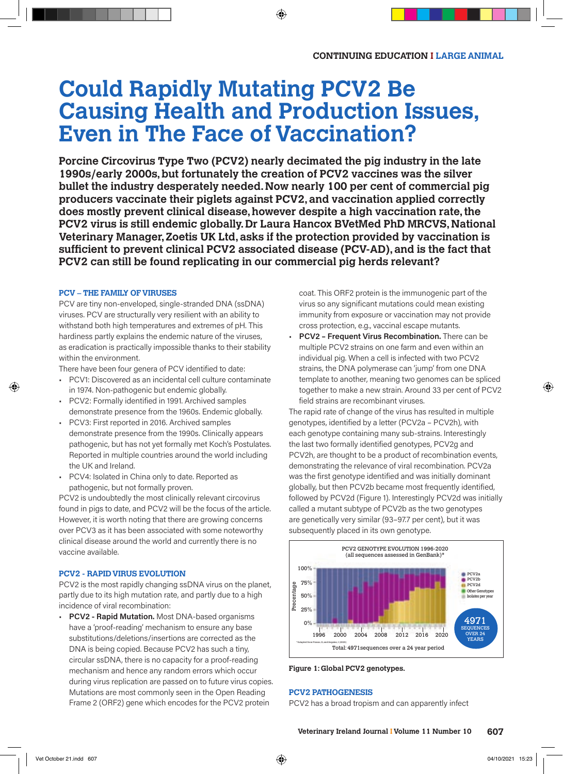# **Could Rapidly Mutating PCV2 Be Causing Health and Production Issues, Even in The Face of Vaccination?**

**Porcine Circovirus Type Two (PCV2) nearly decimated the pig industry in the late 1990s/early 2000s, but fortunately the creation of PCV2 vaccines was the silver bullet the industry desperately needed. Now nearly 100 per cent of commercial pig producers vaccinate their piglets against PCV2, and vaccination applied correctly does mostly prevent clinical disease, however despite a high vaccination rate, the PCV2 virus is still endemic globally. Dr Laura Hancox BVetMed PhD MRCVS, National Veterinary Manager, Zoetis UK Ltd, asks if the protection provided by vaccination is suffi cient to prevent clinical PCV2 associated disease (PCV-AD), and is the fact that PCV2 can still be found replicating in our commercial pig herds relevant?**

#### **PCV – THE FAMILY OF VIRUSES**

PCV are tiny non-enveloped, single-stranded DNA (ssDNA) viruses. PCV are structurally very resilient with an ability to withstand both high temperatures and extremes of pH. This hardiness partly explains the endemic nature of the viruses, as eradication is practically impossible thanks to their stability within the environment.

There have been four genera of PCV identified to date:

- PCV1: Discovered as an incidental cell culture contaminate in 1974. Non-pathogenic but endemic globally.
- PCV2: Formally identified in 1991. Archived samples demonstrate presence from the 1960s. Endemic globally.
- PCV3: First reported in 2016. Archived samples demonstrate presence from the 1990s. Clinically appears pathogenic, but has not yet formally met Koch's Postulates. Reported in multiple countries around the world including the UK and Ireland.
- PCV4: Isolated in China only to date. Reported as pathogenic, but not formally proven.

PCV2 is undoubtedly the most clinically relevant circovirus found in pigs to date, and PCV2 will be the focus of the article. However, it is worth noting that there are growing concerns over PCV3 as it has been associated with some noteworthy clinical disease around the world and currently there is no vaccine available.

#### **PCV2 - RAPID VIRUS EVOLUTION**

PCV2 is the most rapidly changing ssDNA virus on the planet, partly due to its high mutation rate, and partly due to a high incidence of viral recombination:

• **PCV2 - Rapid Mutation.** Most DNA-based organisms have a 'proof-reading' mechanism to ensure any base substitutions/deletions/insertions are corrected as the DNA is being copied. Because PCV2 has such a tiny, circular ssDNA, there is no capacity for a proof-reading mechanism and hence any random errors which occur during virus replication are passed on to future virus copies. Mutations are most commonly seen in the Open Reading Frame 2 (ORF2) gene which encodes for the PCV2 protein

coat. This ORF2 protein is the immunogenic part of the virus so any significant mutations could mean existing immunity from exposure or vaccination may not provide cross protection, e.g., vaccinal escape mutants.

• **PCV2 – Frequent Virus Recombination.** There can be multiple PCV2 strains on one farm and even within an individual pig. When a cell is infected with two PCV2 strains, the DNA polymerase can 'jump' from one DNA template to another, meaning two genomes can be spliced together to make a new strain. Around 33 per cent of PCV2 field strains are recombinant viruses.

The rapid rate of change of the virus has resulted in multiple genotypes, identified by a letter (PCV2a – PCV2h), with each genotype containing many sub-strains. Interestingly the last two formally identified genotypes, PCV2g and PCV2h, are thought to be a product of recombination events, demonstrating the relevance of viral recombination. PCV2a was the first genotype identified and was initially dominant globally, but then PCV2b became most frequently identified, followed by PCV2d (Figure 1). Interestingly PCV2d was initially called a mutant subtype of PCV2b as the two genotypes are genetically very similar (93–97.7 per cent), but it was subsequently placed in its own genotype.



**Figure 1: Global PCV2 genotypes.**

#### **PCV2 PATHOGENESIS**

PCV2 has a broad tropism and can apparently infect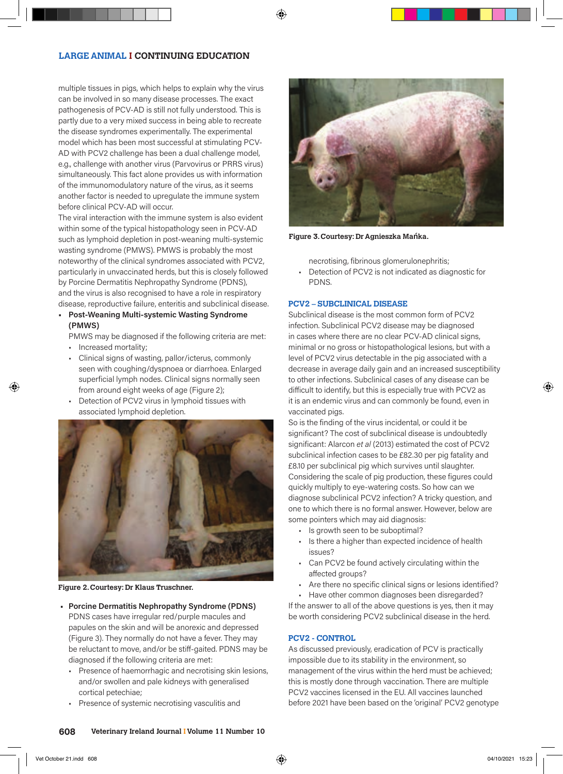# **LARGE ANIMAL I CONTINUING EDUCATION**

multiple tissues in pigs, which helps to explain why the virus can be involved in so many disease processes. The exact pathogenesis of PCV-AD is still not fully understood. This is partly due to a very mixed success in being able to recreate the disease syndromes experimentally. The experimental model which has been most successful at stimulating PCV-AD with PCV2 challenge has been a dual challenge model, e.g., challenge with another virus (Parvovirus or PRRS virus) simultaneously. This fact alone provides us with information of the immunomodulatory nature of the virus, as it seems another factor is needed to upregulate the immune system before clinical PCV-AD will occur.

The viral interaction with the immune system is also evident within some of the typical histopathology seen in PCV-AD such as lymphoid depletion in post-weaning multi-systemic wasting syndrome (PMWS). PMWS is probably the most noteworthy of the clinical syndromes associated with PCV2, particularly in unvaccinated herds, but this is closely followed by Porcine Dermatitis Nephropathy Syndrome (PDNS), and the virus is also recognised to have a role in respiratory disease, reproductive failure, enteritis and subclinical disease.

**• Post-Weaning Multi-systemic Wasting Syndrome (PMWS)**

PMWS may be diagnosed if the following criteria are met:

- Increased mortality;
- Clinical signs of wasting, pallor/icterus, commonly seen with coughing/dyspnoea or diarrhoea. Enlarged superficial lymph nodes. Clinical signs normally seen from around eight weeks of age (Figure 2);
- Detection of PCV2 virus in lymphoid tissues with associated lymphoid depletion.



**Figure 2. Courtesy: Dr Klaus Truschner.**

- **Porcine Dermatitis Nephropathy Syndrome (PDNS)** PDNS cases have irregular red/purple macules and papules on the skin and will be anorexic and depressed (Figure 3). They normally do not have a fever. They may be reluctant to move, and/or be stiff-gaited. PDNS may be diagnosed if the following criteria are met:
	- Presence of haemorrhagic and necrotising skin lesions, and/or swollen and pale kidneys with generalised cortical petechiae;
	- Presence of systemic necrotising vasculitis and



**Figure 3. Courtesy: Dr Agnieszka Mańka.**

necrotising, fibrinous glomerulonephritis;

• Detection of PCV2 is not indicated as diagnostic for PDNS.

#### **PCV2 – SUBCLINICAL DISEASE**

Subclinical disease is the most common form of PCV2 infection. Subclinical PCV2 disease may be diagnosed in cases where there are no clear PCV-AD clinical signs, minimal or no gross or histopathological lesions, but with a level of PCV2 virus detectable in the pig associated with a decrease in average daily gain and an increased susceptibility to other infections. Subclinical cases of any disease can be difficult to identify, but this is especially true with PCV2 as it is an endemic virus and can commonly be found, even in vaccinated pigs.

So is the finding of the virus incidental, or could it be significant? The cost of subclinical disease is undoubtedly significant: Alarcon *et al* (2013) estimated the cost of PCV2 subclinical infection cases to be £82.30 per pig fatality and £8.10 per subclinical pig which survives until slaughter. Considering the scale of pig production, these figures could quickly multiply to eye-watering costs. So how can we diagnose subclinical PCV2 infection? A tricky question, and one to which there is no formal answer. However, below are some pointers which may aid diagnosis:

- Is growth seen to be suboptimal?
- Is there a higher than expected incidence of health issues?
- Can PCV2 be found actively circulating within the affected groups?
- Are there no specific clinical signs or lesions identified?

• Have other common diagnoses been disregarded? If the answer to all of the above questions is yes, then it may be worth considering PCV2 subclinical disease in the herd.

#### **PCV2 - CONTROL**

As discussed previously, eradication of PCV is practically impossible due to its stability in the environment, so management of the virus within the herd must be achieved; this is mostly done through vaccination. There are multiple PCV2 vaccines licensed in the EU. All vaccines launched before 2021 have been based on the 'original' PCV2 genotype